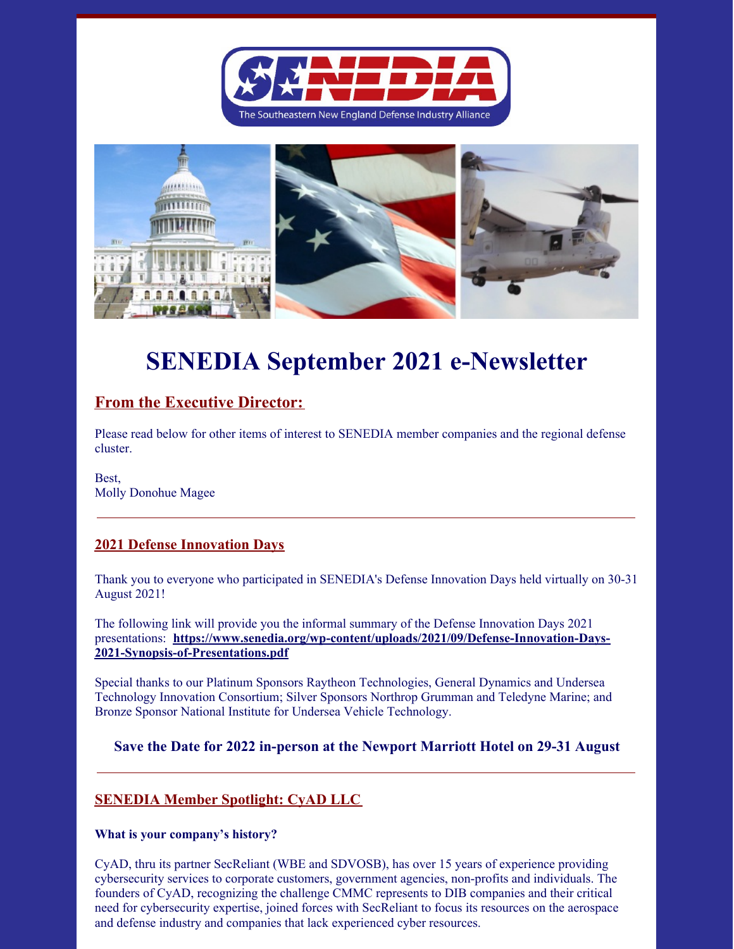



# **SENEDIA September 2021 e-Newsletter**

# **From the Executive Director:**

Please read below for other items of interest to SENEDIA member companies and the regional defense cluster.

Best, Molly Donohue Magee

## **2021 Defense Innovation Days**

Thank you to everyone who participated in SENEDIA's Defense Innovation Days held virtually on 30-31 August 2021!

The following link will provide you the informal summary of the Defense Innovation Days 2021 presentations: **https://www.senedia.org/wp-content/uploads/2021/09/Defense-Innovation-Days-2021-Synopsis-of-Presentations.pdf**

Special thanks to our Platinum Sponsors Raytheon Technologies, General Dynamics and Undersea Technology Innovation Consortium; Silver Sponsors Northrop Grumman and Teledyne Marine; and Bronze Sponsor National Institute for Undersea Vehicle Technology.

## **Save the Date for 2022 in-person at the Newport Marriott Hotel on 29-31 August**

## **SENEDIA Member Spotlight: CyAD LLC**

#### **What is your company's history?**

CyAD, thru its partner SecReliant (WBE and SDVOSB), has over 15 years of experience providing cybersecurity services to corporate customers, government agencies, non-profits and individuals. The founders of CyAD, recognizing the challenge CMMC represents to DIB companies and their critical need for cybersecurity expertise, joined forces with SecReliant to focus its resources on the aerospace and defense industry and companies that lack experienced cyber resources.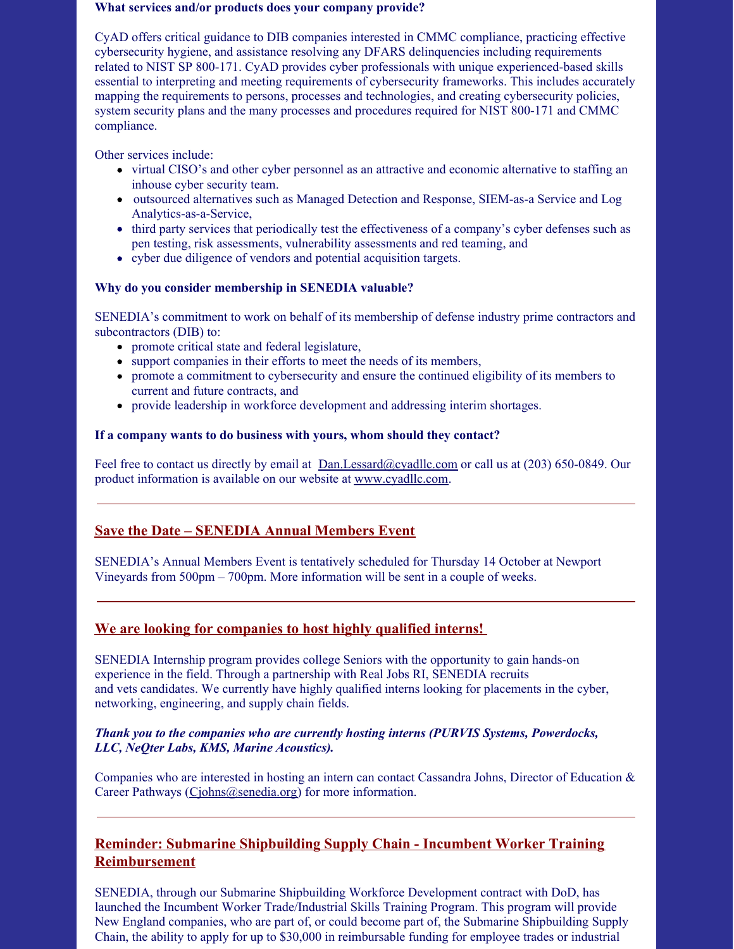#### **What services and/or products does your company provide?**

CyAD offers critical guidance to DIB companies interested in CMMC compliance, practicing effective cybersecurity hygiene, and assistance resolving any DFARS delinquencies including requirements related to NIST SP 800-171. CyAD provides cyber professionals with unique experienced-based skills essential to interpreting and meeting requirements of cybersecurity frameworks. This includes accurately mapping the requirements to persons, processes and technologies, and creating cybersecurity policies, system security plans and the many processes and procedures required for NIST 800-171 and CMMC compliance.

Other services include:

- virtual CISO's and other cyber personnel as an attractive and economic alternative to staffing an inhouse cyber security team.
- outsourced alternatives such as Managed Detection and Response, SIEM-as-a Service and Log Analytics-as-a-Service,
- third party services that periodically test the effectiveness of a company's cyber defenses such as pen testing, risk assessments, vulnerability assessments and red teaming, and
- cyber due diligence of vendors and potential acquisition targets.

#### **Why do you consider membership in SENEDIA valuable?**

SENEDIA's commitment to work on behalf of its membership of defense industry prime contractors and subcontractors (DIB) to:

- promote critical state and federal legislature,
- support companies in their efforts to meet the needs of its members,
- promote a commitment to cybersecurity and ensure the continued eligibility of its members to current and future contracts, and
- provide leadership in workforce development and addressing interim shortages.

#### **If a company wants to do business with yours, whom should they contact?**

Feel free to contact us directly by email at Dan.Lessard@cyadllc.com or call us at (203) 650-0849. Our product information is available on our website at www.cyadllc.com.

## **Save the Date – SENEDIA Annual Members Event**

SENEDIA's Annual Members Event is tentatively scheduled for Thursday 14 October at Newport Vineyards from 500pm – 700pm. More information will be sent in a couple of weeks.

## **We are looking for companies to host highly qualified interns!**

SENEDIA Internship program provides college Seniors with the opportunity to gain hands-on experience in the field. Through a partnership with Real Jobs RI, SENEDIA recruits and vets candidates. We currently have highly qualified interns looking for placements in the cyber, networking, engineering, and supply chain fields.

#### *Thank you to the companies who are currently hosting interns (PURVIS Systems, Powerdocks, LLC, NeQter Labs, KMS, Marine Acoustics).*

Companies who are interested in hosting an intern can contact Cassandra Johns, Director of Education & Career Pathways (Ciohns@senedia.org) for more information.

## **Reminder: Submarine Shipbuilding Supply Chain - Incumbent Worker Training Reimbursement**

SENEDIA, through our Submarine Shipbuilding Workforce Development contract with DoD, has launched the Incumbent Worker Trade/Industrial Skills Training Program. This program will provide New England companies, who are part of, or could become part of, the Submarine Shipbuilding Supply Chain, the ability to apply for up to \$30,000 in reimbursable funding for employee trades or industrial